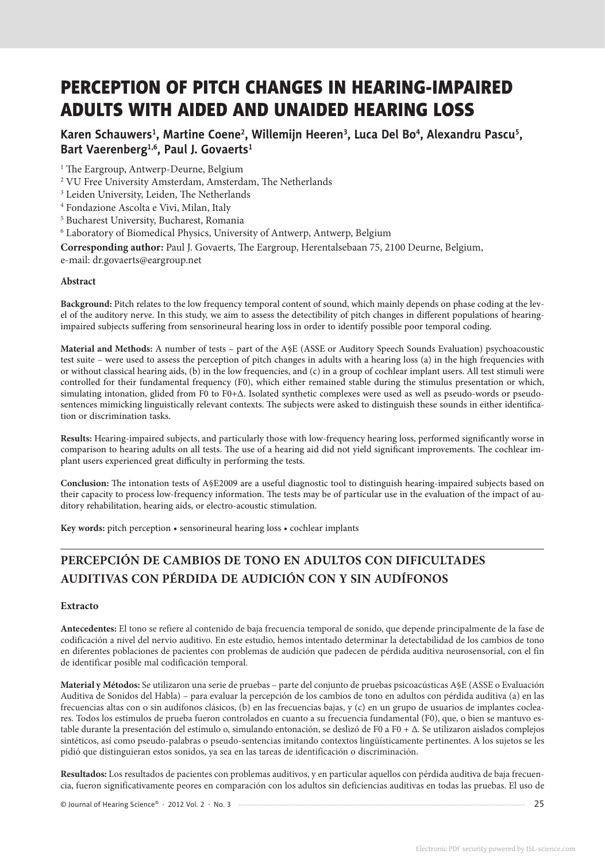# PERCEPTION OF PITCH CHANGES IN HEARING-IMPAIRED ADULTS WITH AIDED AND UNAIDED HEARING LOSS

## Karen Schauwers<sup>1</sup>, Martine Coene<sup>2</sup>, Willemijn Heeren<sup>3</sup>, Luca Del Bo<sup>4</sup>, Alexandru Pascu<sup>5</sup>, **Bart Vaerenberg1,6, Paul J. Govaerts1**

<sup>1</sup> The Eargroup, Antwerp-Deurne, Belgium

- 2 VU Free University Amsterdam, Amsterdam, The Netherlands
- 3 Leiden University, Leiden, The Netherlands
- 4 Fondazione Ascolta e Vivi, Milan, Italy
- 5 Bucharest University, Bucharest, Romania
- $^6$  Laboratory of Biomedical Physics, University of Antwerp, Antwerp, Belgium

**Corresponding author:** Paul J. Govaerts, The Eargroup, Herentalsebaan 75, 2100 Deurne, Belgium,

e-mail: dr.govaerts@eargroup.net

#### **Abstract**

**Background:** Pitch relates to the low frequency temporal content of sound, which mainly depends on phase coding at the level of the auditory nerve. In this study, we aim to assess the detectibility of pitch changes in different populations of hearingimpaired subjects suffering from sensorineural hearing loss in order to identify possible poor temporal coding.

**Material and Methods:** A number of tests – part of the A§E (ASSE or Auditory Speech Sounds Evaluation) psychoacoustic test suite – were used to assess the perception of pitch changes in adults with a hearing loss (a) in the high frequencies with or without classical hearing aids, (b) in the low frequencies, and (c) in a group of cochlear implant users. All test stimuli were controlled for their fundamental frequency (F0), which either remained stable during the stimulus presentation or which, simulating intonation, glided from F0 to F0+∆. Isolated synthetic complexes were used as well as pseudo-words or pseudosentences mimicking linguistically relevant contexts. The subjects were asked to distinguish these sounds in either identification or discrimination tasks.

**Results:** Hearing-impaired subjects, and particularly those with low-frequency hearing loss, performed significantly worse in comparison to hearing adults on all tests. The use of a hearing aid did not yield significant improvements. The cochlear implant users experienced great difficulty in performing the tests.

**Conclusion:** The intonation tests of A§E2009 are a useful diagnostic tool to distinguish hearing-impaired subjects based on their capacity to process low-frequency information. The tests may be of particular use in the evaluation of the impact of auditory rehabilitation, hearing aids, or electro-acoustic stimulation.

**Key words:** pitch perception • sensorineural hearing loss • cochlear implants

# **PERCEPCIÓN DE CAMBIOS DE TONO EN ADULTOS CON DIFICULTADES AUDITIVAS CON PÉRDIDA DE AUDICIÓN CON Y SIN AUDÍFONOS**

#### **Extracto**

**Antecedentes:** El tono se refiere al contenido de baja frecuencia temporal de sonido, que depende principalmente de la fase de codificación a nivel del nervio auditivo. En este estudio, hemos intentado determinar la detectabilidad de los cambios de tono en diferentes poblaciones de pacientes con problemas de audición que padecen de pérdida auditiva neurosensorial, con el fin de identificar posible mal codificación temporal.

**Material y Métodos:** Se utilizaron una serie de pruebas – parte del conjunto de pruebas psicoacústicas A§E (ASSE o Evaluación Auditiva de Sonidos del Habla) – para evaluar la percepción de los cambios de tono en adultos con pérdida auditiva (a) en las frecuencias altas con o sin audífonos clásicos, (b) en las frecuencias bajas, y (c) en un grupo de usuarios de implantes cocleares. Todos los estímulos de prueba fueron controlados en cuanto a su frecuencia fundamental (F0), que, o bien se mantuvo estable durante la presentación del estímulo o, simulando entonación, se deslizó de F0 a F0 + Δ. Se utilizaron aislados complejos sintéticos, así como pseudo-palabras o pseudo-sentencias imitando contextos lingüísticamente pertinentes. A los sujetos se les pidió que distinguieran estos sonidos, ya sea en las tareas de identificación o discriminación.

**Resultados:** Los resultados de pacientes con problemas auditivos, y en particular aquellos con pérdida auditiva de baja frecuencia, fueron significativamente peores en comparación con los adultos sin deficiencias auditivas en todas las pruebas. El uso de

© Journal of Hearing Science® · 2012 Vol. 2 · No. 3 25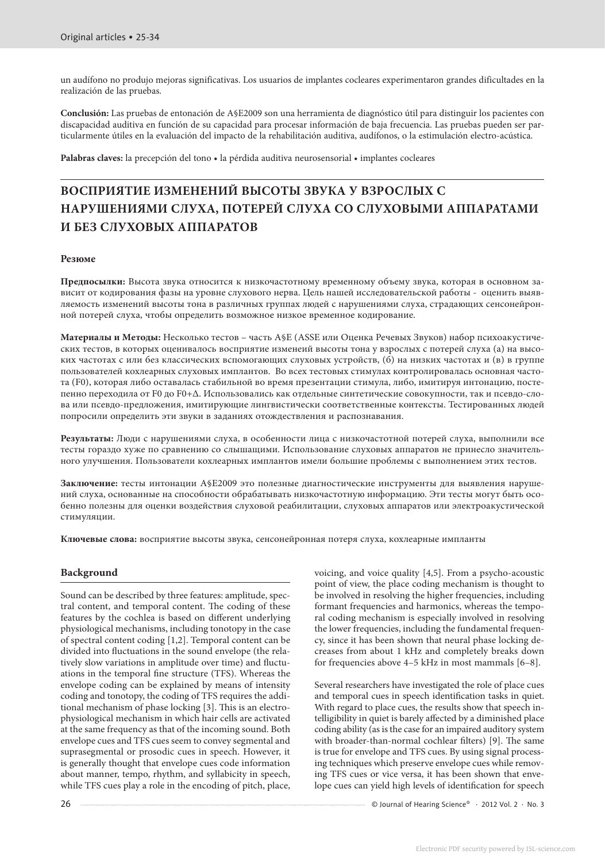un audífono no produjo mejoras significativas. Los usuarios de implantes cocleares experimentaron grandes dificultades en la realización de las pruebas.

**Conclusión:** Las pruebas de entonación de A§E2009 son una herramienta de diagnóstico útil para distinguir los pacientes con discapacidad auditiva en función de su capacidad para procesar información de baja frecuencia. Las pruebas pueden ser particularmente útiles en la evaluación del impacto de la rehabilitación auditiva, audífonos, o la estimulación electro-acústica.

**Palabras claves:** la precepción del tono • la pérdida auditiva neurosensorial • implantes cocleares

# **ВОСПРИЯТИЕ ИЗМЕНЕНИЙ ВЫСОТЫ ЗВУКА У ВЗРОСЛЫХ С НАРУШЕНИЯМИ СЛУХА, ПОТЕРЕЙ СЛУХА СО СЛУХОВЫМИ АППАРАТАМИ И БЕЗ СЛУХОВЫХ АППАРАТОВ**

#### **Резюме**

**Предпосылки:** Высота звука относится к низкочастотному временному объему звука, которая в основном зависит от кодирования фазы на уровне слухового нерва. Цель нашей исследовательской работы - оценить выявляемость изменений высоты тона в различных группах людей с нарушениями слуха, страдающих сенсонейронной потерей слуха, чтобы определить возможное низкое временное кодирование.

**Материалы и Mетоды:** Несколько тестов – часть A§E (ASSE или Оценка Речевых Звуков) набор психоакустических тестов, в которых оценивалось восприятие изменеий высоты тона у взрослых с потерей слуха (а) на высоких частотах с или без классических вспомогающих слуховых устройств, (б) на низких частотах и (в) в группе пользователей кохлеарных слуховых имплантов. Во всех тестовых стимулах контролировалась основная частота (F0), которая либо оставалась стабильной во время презентации стимула, либо, имитируя интонацию, постепенно переходила от F0 до F0+∆. Использовались как отдельные синтетические совокупности, так и псевдо-слова или псевдо-предложения, имитирующие лингвистически соответственные контексты. Тестированных людей попросили определить эти звуки в заданиях отождествления и распознавания.

**Результаты:** Люди с нарушениями слуха, в особенности лица с низкочастотной потерей слуха, выполнили все тесты гораздо хуже по сравнению со слышащими. Использование слуховых аппаратов не принесло значительного улучшения. Пользователи кохлеарных имплантов имели большие проблемы с выполнением этих тестов.

**Заключение:** тесты интонации A§E2009 это полезные диагностические инструменты для выявления нарушений слуха, основанные на способности обрабатывать низкочастотную информацию. Эти тесты могут быть особенно полезны для оценки воздействия слуховой реабилитации, слуховых аппаратов или электроакустической стимуляции.

**Ключевые слова:** восприятие высоты звука, сенсонейронная потеря слуха, кохлеарные импланты

#### **Background**

Sound can be described by three features: amplitude, spectral content, and temporal content. The coding of these features by the cochlea is based on different underlying physiological mechanisms, including tonotopy in the case of spectral content coding [1,2]. Temporal content can be divided into fluctuations in the sound envelope (the relatively slow variations in amplitude over time) and fluctuations in the temporal fine structure (TFS). Whereas the envelope coding can be explained by means of intensity coding and tonotopy, the coding of TFS requires the additional mechanism of phase locking [3]. This is an electrophysiological mechanism in which hair cells are activated at the same frequency as that of the incoming sound. Both envelope cues and TFS cues seem to convey segmental and suprasegmental or prosodic cues in speech. However, it is generally thought that envelope cues code information about manner, tempo, rhythm, and syllabicity in speech, while TFS cues play a role in the encoding of pitch, place,

voicing, and voice quality [4,5]. From a psycho-acoustic point of view, the place coding mechanism is thought to be involved in resolving the higher frequencies, including formant frequencies and harmonics, whereas the temporal coding mechanism is especially involved in resolving the lower frequencies, including the fundamental frequency, since it has been shown that neural phase locking decreases from about 1 kHz and completely breaks down for frequencies above 4–5 kHz in most mammals [6–8].

Several researchers have investigated the role of place cues and temporal cues in speech identification tasks in quiet. With regard to place cues, the results show that speech intelligibility in quiet is barely affected by a diminished place coding ability (as is the case for an impaired auditory system with broader-than-normal cochlear filters) [9]. The same is true for envelope and TFS cues. By using signal processing techniques which preserve envelope cues while removing TFS cues or vice versa, it has been shown that envelope cues can yield high levels of identification for speech

26 Communication Communication Communication Communication Communication Communication Communication Communication Communication Communication Communication Communication Communication Communication Communication Communica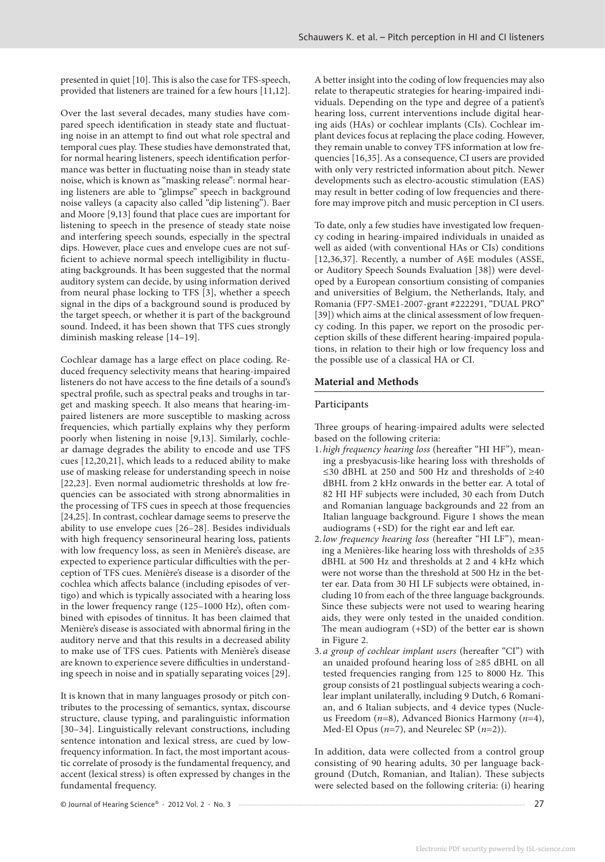presented in quiet [10]. This is also the case for TFS-speech, provided that listeners are trained for a few hours [11,12].

Over the last several decades, many studies have compared speech identification in steady state and fluctuating noise in an attempt to find out what role spectral and temporal cues play. These studies have demonstrated that, for normal hearing listeners, speech identification performance was better in fluctuating noise than in steady state noise, which is known as "masking release": normal hearing listeners are able to "glimpse" speech in background noise valleys (a capacity also called "dip listening"). Baer and Moore [9,13] found that place cues are important for listening to speech in the presence of steady state noise and interfering speech sounds, especially in the spectral dips. However, place cues and envelope cues are not sufficient to achieve normal speech intelligibility in fluctuating backgrounds. It has been suggested that the normal auditory system can decide, by using information derived from neural phase locking to TFS [3], whether a speech signal in the dips of a background sound is produced by the target speech, or whether it is part of the background sound. Indeed, it has been shown that TFS cues strongly diminish masking release [14–19].

Cochlear damage has a large effect on place coding. Reduced frequency selectivity means that hearing-impaired listeners do not have access to the fine details of a sound's spectral profile, such as spectral peaks and troughs in target and masking speech. It also means that hearing-impaired listeners are more susceptible to masking across frequencies, which partially explains why they perform poorly when listening in noise [9,13]. Similarly, cochlear damage degrades the ability to encode and use TFS cues [12,20,21], which leads to a reduced ability to make use of masking release for understanding speech in noise [22,23]. Even normal audiometric thresholds at low frequencies can be associated with strong abnormalities in the processing of TFS cues in speech at those frequencies [24,25]. In contrast, cochlear damage seems to preserve the ability to use envelope cues [26–28]. Besides individuals with high frequency sensorineural hearing loss, patients with low frequency loss, as seen in Menière's disease, are expected to experience particular difficulties with the perception of TFS cues. Menière's disease is a disorder of the cochlea which affects balance (including episodes of vertigo) and which is typically associated with a hearing loss in the lower frequency range (125–1000 Hz), often combined with episodes of tinnitus. It has been claimed that Menière's disease is associated with abnormal firing in the auditory nerve and that this results in a decreased ability to make use of TFS cues. Patients with Menière's disease are known to experience severe difficulties in understanding speech in noise and in spatially separating voices [29].

It is known that in many languages prosody or pitch contributes to the processing of semantics, syntax, discourse structure, clause typing, and paralinguistic information [30–34]. Linguistically relevant constructions, including sentence intonation and lexical stress, are cued by lowfrequency information. In fact, the most important acoustic correlate of prosody is the fundamental frequency, and accent (lexical stress) is often expressed by changes in the fundamental frequency.

A better insight into the coding of low frequencies may also relate to therapeutic strategies for hearing-impaired individuals. Depending on the type and degree of a patient's hearing loss, current interventions include digital hearing aids (HAs) or cochlear implants (CIs). Cochlear implant devices focus at replacing the place coding. However, they remain unable to convey TFS information at low frequencies [16,35]. As a consequence, CI users are provided with only very restricted information about pitch. Newer developments such as electro-acoustic stimulation (EAS) may result in better coding of low frequencies and therefore may improve pitch and music perception in CI users.

To date, only a few studies have investigated low frequency coding in hearing-impaired individuals in unaided as well as aided (with conventional HAs or CIs) conditions [12,36,37]. Recently, a number of A§E modules (ASSE, or Auditory Speech Sounds Evaluation [38]) were developed by a European consortium consisting of companies and universities of Belgium, the Netherlands, Italy, and Romania (FP7-SME1-2007-grant #222291, "DUAL PRO" [39]) which aims at the clinical assessment of low frequency coding. In this paper, we report on the prosodic perception skills of these different hearing-impaired populations, in relation to their high or low frequency loss and the possible use of a classical HA or CI.

#### **Material and Methods**

#### Participants

Three groups of hearing-impaired adults were selected based on the following criteria:

- 1. *high frequency hearing loss* (hereafter "HI HF"), meaning a presbyacusis-like hearing loss with thresholds of ≤30 dBHL at 250 and 500 Hz and thresholds of ≥40 dBHL from 2 kHz onwards in the better ear. A total of 82 HI HF subjects were included, 30 each from Dutch and Romanian language backgrounds and 22 from an Italian language background. Figure 1 shows the mean audiograms (+SD) for the right ear and left ear.
- 2. *low frequency hearing loss* (hereafter "HI LF"), meaning a Menières-like hearing loss with thresholds of ≥35 dBHL at 500 Hz and thresholds at 2 and 4 kHz which were not worse than the threshold at 500 Hz in the better ear. Data from 30 HI LF subjects were obtained, including 10 from each of the three language backgrounds. Since these subjects were not used to wearing hearing aids, they were only tested in the unaided condition. The mean audiogram (+SD) of the better ear is shown in Figure 2.
- 3. *a group of cochlear implant users* (hereafter "CI") with an unaided profound hearing loss of ≥85 dBHL on all tested frequencies ranging from 125 to 8000 Hz. This group consists of 21 postlingual subjects wearing a cochlear implant unilaterally, including 9 Dutch, 6 Romanian, and 6 Italian subjects, and 4 device types (Nucleus Freedom (*n*=8), Advanced Bionics Harmony (*n*=4), Med-El Opus (*n*=7), and Neurelec SP (*n*=2)).

In addition, data were collected from a control group consisting of 90 hearing adults, 30 per language background (Dutch, Romanian, and Italian). These subjects were selected based on the following criteria: (i) hearing

© Journal of Hearing Science® · 2012 Vol. 2 · No. 3 27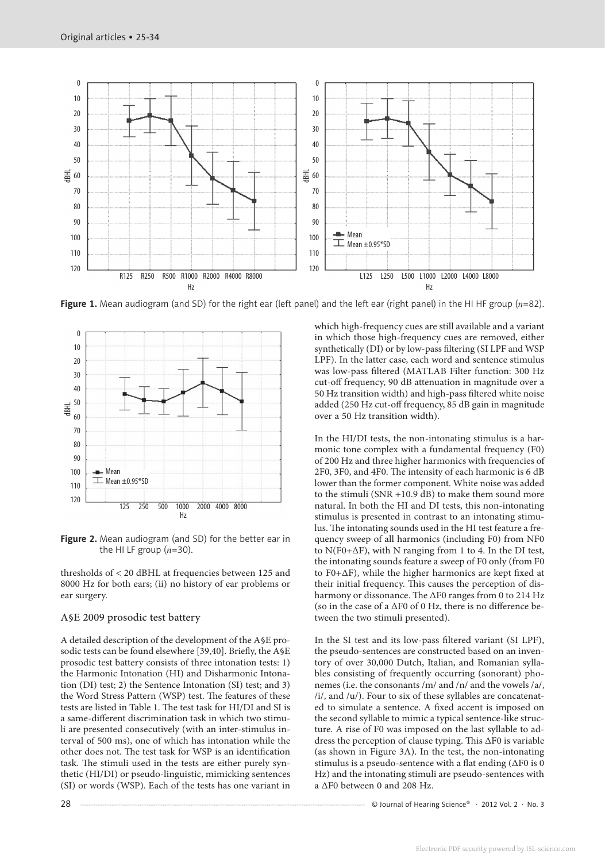

**Figure 1.** Mean audiogram (and SD) for the right ear (left panel) and the left ear (right panel) in the HI HF group (*n*=82).



**Figure 2.** Mean audiogram (and SD) for the better ear in the HI LF group  $(n=30)$ .

thresholds of < 20 dBHL at frequencies between 125 and 8000 Hz for both ears; (ii) no history of ear problems or ear surgery.

#### A§E 2009 prosodic test battery

A detailed description of the development of the A§E prosodic tests can be found elsewhere [39,40]. Briefly, the A§E prosodic test battery consists of three intonation tests: 1) the Harmonic Intonation (HI) and Disharmonic Intonation (DI) test; 2) the Sentence Intonation (SI) test; and 3) the Word Stress Pattern (WSP) test. The features of these tests are listed in Table 1. The test task for HI/DI and SI is a same-different discrimination task in which two stimuli are presented consecutively (with an inter-stimulus interval of 500 ms), one of which has intonation while the other does not. The test task for WSP is an identification task. The stimuli used in the tests are either purely synthetic (HI/DI) or pseudo-linguistic, mimicking sentences (SI) or words (WSP). Each of the tests has one variant in which high-frequency cues are still available and a variant in which those high-frequency cues are removed, either synthetically (DI) or by low-pass filtering (SI LPF and WSP LPF). In the latter case, each word and sentence stimulus was low-pass filtered (MATLAB Filter function: 300 Hz cut-off frequency, 90 dB attenuation in magnitude over a 50 Hz transition width) and high-pass filtered white noise added (250 Hz cut-off frequency, 85 dB gain in magnitude over a 50 Hz transition width).

In the HI/DI tests, the non-intonating stimulus is a harmonic tone complex with a fundamental frequency (F0) of 200 Hz and three higher harmonics with frequencies of 2F0, 3F0, and 4F0. The intensity of each harmonic is 6 dB lower than the former component. White noise was added to the stimuli (SNR +10.9  $dB$ ) to make them sound more natural. In both the HI and DI tests, this non-intonating stimulus is presented in contrast to an intonating stimulus. The intonating sounds used in the HI test feature a frequency sweep of all harmonics (including F0) from NF0 to N(F0+∆F), with N ranging from 1 to 4. In the DI test, the intonating sounds feature a sweep of F0 only (from F0 to F0+∆F), while the higher harmonics are kept fixed at their initial frequency. This causes the perception of disharmony or dissonance. The ∆F0 ranges from 0 to 214 Hz (so in the case of a ∆F0 of 0 Hz, there is no difference between the two stimuli presented).

In the SI test and its low-pass filtered variant (SI LPF), the pseudo-sentences are constructed based on an inventory of over 30,000 Dutch, Italian, and Romanian syllables consisting of frequently occurring (sonorant) phonemes (i.e. the consonants /m/ and /n/ and the vowels /a/, /i/, and /u/). Four to six of these syllables are concatenated to simulate a sentence. A fixed accent is imposed on the second syllable to mimic a typical sentence-like structure. A rise of F0 was imposed on the last syllable to address the perception of clause typing. This ∆F0 is variable (as shown in Figure 3A). In the test, the non-intonating stimulus is a pseudo-sentence with a flat ending (∆F0 is 0 Hz) and the intonating stimuli are pseudo-sentences with a ∆F0 between 0 and 208 Hz.

28 Cournal of Hearing Science® · 2012 Vol. 2 · No. 3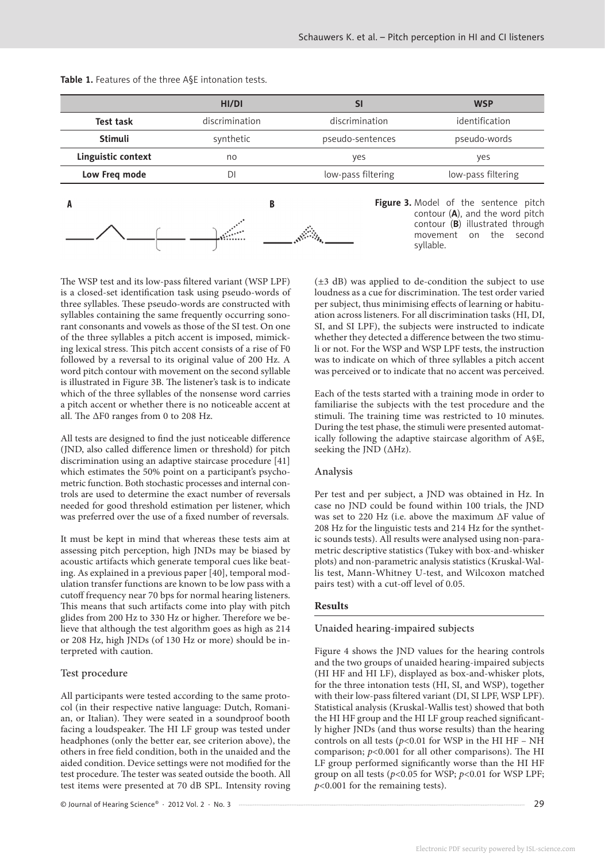|                    | HI/DI          | SI                 | <b>WSP</b>                                                                                                                                                    |  |
|--------------------|----------------|--------------------|---------------------------------------------------------------------------------------------------------------------------------------------------------------|--|
| <b>Test task</b>   | discrimination | discrimination     | identification                                                                                                                                                |  |
| <b>Stimuli</b>     | synthetic      | pseudo-sentences   | pseudo-words                                                                                                                                                  |  |
| Linguistic context | no             | yes                | yes                                                                                                                                                           |  |
| Low Freq mode      | DI             | low-pass filtering | low-pass filtering                                                                                                                                            |  |
|                    | B              |                    | Figure 3. Model of the sentence pitch<br>contour $(A)$ , and the word pitch<br>contour $(B)$ illustrated through<br>the second<br>movement<br>on<br>syllable. |  |

**Table 1.** Features of the three A§E intonation tests.

The WSP test and its low-pass filtered variant (WSP LPF) is a closed-set identification task using pseudo-words of three syllables. These pseudo-words are constructed with syllables containing the same frequently occurring sonorant consonants and vowels as those of the SI test. On one of the three syllables a pitch accent is imposed, mimicking lexical stress. This pitch accent consists of a rise of F0 followed by a reversal to its original value of 200 Hz. A word pitch contour with movement on the second syllable is illustrated in Figure 3B. The listener's task is to indicate which of the three syllables of the nonsense word carries a pitch accent or whether there is no noticeable accent at all. The ∆F0 ranges from 0 to 208 Hz.

All tests are designed to find the just noticeable difference (JND, also called difference limen or threshold) for pitch discrimination using an adaptive staircase procedure [41] which estimates the 50% point on a participant's psychometric function. Both stochastic processes and internal controls are used to determine the exact number of reversals needed for good threshold estimation per listener, which was preferred over the use of a fixed number of reversals.

It must be kept in mind that whereas these tests aim at assessing pitch perception, high JNDs may be biased by acoustic artifacts which generate temporal cues like beating. As explained in a previous paper [40], temporal modulation transfer functions are known to be low pass with a cutoff frequency near 70 bps for normal hearing listeners. This means that such artifacts come into play with pitch glides from 200 Hz to 330 Hz or higher. Therefore we believe that although the test algorithm goes as high as 214 or 208 Hz, high JNDs (of 130 Hz or more) should be interpreted with caution.

### Test procedure

All participants were tested according to the same protocol (in their respective native language: Dutch, Romanian, or Italian). They were seated in a soundproof booth facing a loudspeaker. The HI LF group was tested under headphones (only the better ear, see criterion above), the others in free field condition, both in the unaided and the aided condition. Device settings were not modified for the test procedure. The tester was seated outside the booth. All test items were presented at 70 dB SPL. Intensity roving

© Journal of Hearing Science® · 2012 Vol. 2 · No. 3 29

(±3 dB) was applied to de-condition the subject to use loudness as a cue for discrimination. The test order varied per subject, thus minimising effects of learning or habituation across listeners. For all discrimination tasks (HI, DI, SI, and SI LPF), the subjects were instructed to indicate whether they detected a difference between the two stimuli or not. For the WSP and WSP LPF tests, the instruction was to indicate on which of three syllables a pitch accent was perceived or to indicate that no accent was perceived.

Each of the tests started with a training mode in order to familiarise the subjects with the test procedure and the stimuli. The training time was restricted to 10 minutes. During the test phase, the stimuli were presented automatically following the adaptive staircase algorithm of A§E, seeking the JND (∆Hz).

### Analysis

Per test and per subject, a JND was obtained in Hz. In case no JND could be found within 100 trials, the JND was set to 220 Hz (i.e. above the maximum ∆F value of 208 Hz for the linguistic tests and 214 Hz for the synthetic sounds tests). All results were analysed using non-parametric descriptive statistics (Tukey with box-and-whisker plots) and non-parametric analysis statistics (Kruskal-Wallis test, Mann-Whitney U-test, and Wilcoxon matched pairs test) with a cut-off level of 0.05.

### **Results**

#### Unaided hearing-impaired subjects

Figure 4 shows the JND values for the hearing controls and the two groups of unaided hearing-impaired subjects (HI HF and HI LF), displayed as box-and-whisker plots, for the three intonation tests (HI, SI, and WSP), together with their low-pass filtered variant (DI, SI LPF, WSP LPF). Statistical analysis (Kruskal-Wallis test) showed that both the HI HF group and the HI LF group reached significantly higher JNDs (and thus worse results) than the hearing controls on all tests ( $p$ <0.01 for WSP in the HI HF – NH comparison; *p*<0.001 for all other comparisons). The HI LF group performed significantly worse than the HI HF group on all tests ( $p$ <0.05 for WSP;  $p$ <0.01 for WSP LPF; *p*<0.001 for the remaining tests).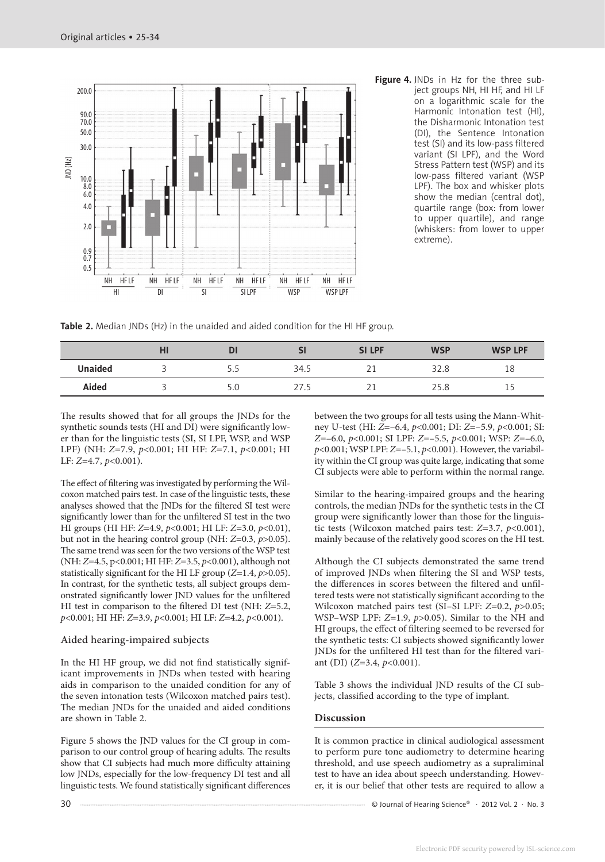

**Figure 4.** JNDs in Hz for the three subject groups NH, HI HF, and HI LF on a logarithmic scale for the Harmonic Intonation test (HI), the Disharmonic Intonation test (DI), the Sentence Intonation test (SI) and its low-pass filtered variant (SI LPF), and the Word Stress Pattern test (WSP) and its low-pass filtered variant (WSP LPF). The box and whisker plots show the median (central dot), quartile range (box: from lower to upper quartile), and range (whiskers: from lower to upper extreme).

**Table 2.** Median JNDs (Hz) in the unaided and aided condition for the HI HF group.

|                | нı | D               | Sl   | <b>SILPF</b> | <b>WSP</b> | <b>WSP LPF</b> |
|----------------|----|-----------------|------|--------------|------------|----------------|
| <b>Unaided</b> |    | ᄂ               | 34.5 | ∠⊥           | 32.8       | 18             |
| Aided          |    | 5. <sub>C</sub> | 27.5 | ∠⊥           | 25.8       | IJ             |

The results showed that for all groups the JNDs for the synthetic sounds tests (HI and DI) were significantly lower than for the linguistic tests (SI, SI LPF, WSP, and WSP LPF) (NH: *Z*=7.9, *p*<0.001; HI HF: *Z*=7.1, *p*<0.001; HI LF: *Z*=4.7, *p*<0.001).

The effect of filtering was investigated by performing the Wilcoxon matched pairs test. In case of the linguistic tests, these analyses showed that the JNDs for the filtered SI test were significantly lower than for the unfiltered SI test in the two HI groups (HI HF: *Z*=4.9, *p*<0.001; HI LF: *Z*=3.0, *p*<0.01), but not in the hearing control group (NH: *Z*=0.3, *p*>0.05). The same trend was seen for the two versions of the WSP test (NH: *Z*=4.5, p<0.001; HI HF: *Z*=3.5, *p*<0.001), although not statistically significant for the HI LF group (*Z*=1.4, *p*>0.05). In contrast, for the synthetic tests, all subject groups demonstrated significantly lower JND values for the unfiltered HI test in comparison to the filtered DI test (NH: *Z*=5.2, *p*<0.001; HI HF: *Z*=3.9, *p*<0.001; HI LF: *Z*=4.2, *p*<0.001).

#### Aided hearing-impaired subjects

In the HI HF group, we did not find statistically significant improvements in JNDs when tested with hearing aids in comparison to the unaided condition for any of the seven intonation tests (Wilcoxon matched pairs test). The median JNDs for the unaided and aided conditions are shown in Table 2.

Figure 5 shows the JND values for the CI group in comparison to our control group of hearing adults. The results show that CI subjects had much more difficulty attaining low JNDs, especially for the low-frequency DI test and all linguistic tests. We found statistically significant differences between the two groups for all tests using the Mann-Whitney U-test (HI: *Z*=–6.4, *p*<0.001; DI: *Z*=–5.9, *p*<0.001; SI: *Z*=–6.0, *p*<0.001; SI LPF: *Z*=–5.5, *p*<0.001; WSP: *Z*=–6.0, *p*<0.001; WSP LPF: *Z*=–5.1, *p*<0.001). However, the variability within the CI group was quite large, indicating that some CI subjects were able to perform within the normal range.

Similar to the hearing-impaired groups and the hearing controls, the median JNDs for the synthetic tests in the CI group were significantly lower than those for the linguistic tests (Wilcoxon matched pairs test: *Z*=3.7, *p*<0.001), mainly because of the relatively good scores on the HI test.

Although the CI subjects demonstrated the same trend of improved JNDs when filtering the SI and WSP tests, the differences in scores between the filtered and unfiltered tests were not statistically significant according to the Wilcoxon matched pairs test (SI–SI LPF: *Z*=0.2, *p*>0.05; WSP–WSP LPF: *Z*=1.9, *p*>0.05). Similar to the NH and HI groups, the effect of filtering seemed to be reversed for the synthetic tests: CI subjects showed significantly lower JNDs for the unfiltered HI test than for the filtered variant (DI) (*Z*=3.4, *p*<0.001).

Table 3 shows the individual JND results of the CI subjects, classified according to the type of implant.

### **Discussion**

It is common practice in clinical audiological assessment to perform pure tone audiometry to determine hearing threshold, and use speech audiometry as a supraliminal test to have an idea about speech understanding. However, it is our belief that other tests are required to allow a

30 COLLET CONSERVED A LOCAL CONTROLLER SUBSERVED ASSESSMENT CONTRACT OF DUTIES OF HEATING SCIENCE OF 2012 Vol. 2 · No. 3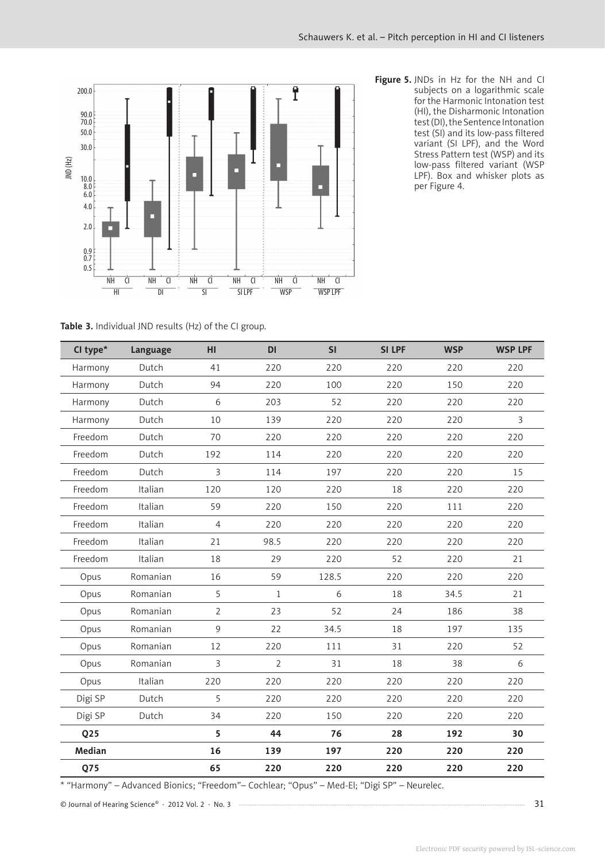

**Figure 5.** JNDs in Hz for the NH and CI subjects on a logarithmic scale for the Harmonic Intonation test (HI), the Disharmonic Intonation test (DI), the Sentence Intonation test (SI) and its low-pass filtered variant (SI LPF), and the Word Stress Pattern test (WSP) and its low-pass filtered variant (WSP LPF). Box and whisker plots as per Figure 4.

**Table 3.** Individual JND results (Hz) of the CI group.

| CI type*        | Language | HI             | <b>DI</b>    | SI    | <b>SILPF</b> | <b>WSP</b> | <b>WSP LPF</b> |
|-----------------|----------|----------------|--------------|-------|--------------|------------|----------------|
| Harmony         | Dutch    | 41             | 220          | 220   | 220          | 220        | 220            |
| Harmony         | Dutch    | 94             | 220          | 100   | 220          | 150        | 220            |
| Harmony         | Dutch    | 6              | 203          | 52    | 220          | 220        | 220            |
| Harmony         | Dutch    | 10             | 139          | 220   | 220          | 220        | 3              |
| Freedom         | Dutch    | 70             | 220          | 220   | 220          | 220        | 220            |
| Freedom         | Dutch    | 192            | 114          | 220   | 220          | 220        | 220            |
| Freedom         | Dutch    | 3              | 114          | 197   | 220          | 220        | 15             |
| Freedom         | Italian  | 120            | 120          | 220   | 18           | 220        | 220            |
| Freedom         | Italian  | 59             | 220          | 150   | 220          | 111        | 220            |
| Freedom         | Italian  | $\overline{4}$ | 220          | 220   | 220          | 220        | 220            |
| Freedom         | Italian  | 21             | 98.5         | 220   | 220          | 220        | 220            |
| Freedom         | Italian  | 18             | 29           | 220   | 52           | 220        | 21             |
| Opus            | Romanian | 16             | 59           | 128.5 | 220          | 220        | 220            |
| Opus            | Romanian | 5              | $\mathbf{1}$ | 6     | 18           | 34.5       | 21             |
| Opus            | Romanian | $\overline{2}$ | 23           | 52    | 24           | 186        | 38             |
| Opus            | Romanian | 9              | 22           | 34.5  | 18           | 197        | 135            |
| Opus            | Romanian | 12             | 220          | 111   | 31           | 220        | 52             |
| Opus            | Romanian | 3              | 2            | 31    | 18           | 38         | 6              |
| Opus            | Italian  | 220            | 220          | 220   | 220          | 220        | 220            |
| Digi SP         | Dutch    | 5              | 220          | 220   | 220          | 220        | 220            |
| Digi SP         | Dutch    | 34             | 220          | 150   | 220          | 220        | 220            |
| Q <sub>25</sub> |          | 5              | 44           | 76    | 28           | 192        | 30             |
| Median          |          | 16             | 139          | 197   | 220          | 220        | 220            |
| Q75             |          | 65             | 220          | 220   | 220          | 220        | 220            |

\* "Harmony" – Advanced Bionics; "Freedom"– Cochlear; "Opus" – Med-El; "Digi SP" – Neurelec.

© Journal of Hearing Science® · 2012 Vol. 2 · No. 3 31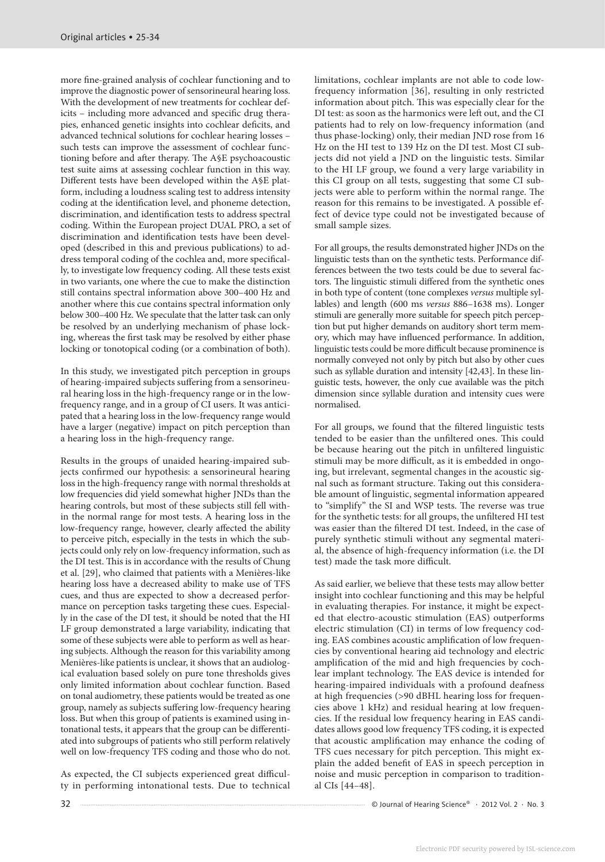more fine-grained analysis of cochlear functioning and to improve the diagnostic power of sensorineural hearing loss. With the development of new treatments for cochlear deficits – including more advanced and specific drug therapies, enhanced genetic insights into cochlear deficits, and advanced technical solutions for cochlear hearing losses – such tests can improve the assessment of cochlear functioning before and after therapy. The A§E psychoacoustic test suite aims at assessing cochlear function in this way. Different tests have been developed within the A§E platform, including a loudness scaling test to address intensity coding at the identification level, and phoneme detection, discrimination, and identification tests to address spectral coding. Within the European project DUAL PRO, a set of discrimination and identification tests have been developed (described in this and previous publications) to address temporal coding of the cochlea and, more specifically, to investigate low frequency coding. All these tests exist in two variants, one where the cue to make the distinction still contains spectral information above 300–400 Hz and another where this cue contains spectral information only below 300–400 Hz. We speculate that the latter task can only be resolved by an underlying mechanism of phase locking, whereas the first task may be resolved by either phase locking or tonotopical coding (or a combination of both).

In this study, we investigated pitch perception in groups of hearing-impaired subjects suffering from a sensorineural hearing loss in the high-frequency range or in the lowfrequency range, and in a group of CI users. It was anticipated that a hearing loss in the low-frequency range would have a larger (negative) impact on pitch perception than a hearing loss in the high-frequency range.

Results in the groups of unaided hearing-impaired subjects confirmed our hypothesis: a sensorineural hearing loss in the high-frequency range with normal thresholds at low frequencies did yield somewhat higher JNDs than the hearing controls, but most of these subjects still fell within the normal range for most tests. A hearing loss in the low-frequency range, however, clearly affected the ability to perceive pitch, especially in the tests in which the subjects could only rely on low-frequency information, such as the DI test. This is in accordance with the results of Chung et al. [29], who claimed that patients with a Menières-like hearing loss have a decreased ability to make use of TFS cues, and thus are expected to show a decreased performance on perception tasks targeting these cues. Especially in the case of the DI test, it should be noted that the HI LF group demonstrated a large variability, indicating that some of these subjects were able to perform as well as hearing subjects. Although the reason for this variability among Menières-like patients is unclear, it shows that an audiological evaluation based solely on pure tone thresholds gives only limited information about cochlear function. Based on tonal audiometry, these patients would be treated as one group, namely as subjects suffering low-frequency hearing loss. But when this group of patients is examined using intonational tests, it appears that the group can be differentiated into subgroups of patients who still perform relatively well on low-frequency TFS coding and those who do not.

As expected, the CI subjects experienced great difficulty in performing intonational tests. Due to technical limitations, cochlear implants are not able to code lowfrequency information [36], resulting in only restricted information about pitch. This was especially clear for the DI test: as soon as the harmonics were left out, and the CI patients had to rely on low-frequency information (and thus phase-locking) only, their median JND rose from 16 Hz on the HI test to 139 Hz on the DI test. Most CI subjects did not yield a JND on the linguistic tests. Similar to the HI LF group, we found a very large variability in this CI group on all tests, suggesting that some CI subjects were able to perform within the normal range. The reason for this remains to be investigated. A possible effect of device type could not be investigated because of small sample sizes.

For all groups, the results demonstrated higher JNDs on the linguistic tests than on the synthetic tests. Performance differences between the two tests could be due to several factors. The linguistic stimuli differed from the synthetic ones in both type of content (tone complexes *versus* multiple syllables) and length (600 ms *versus* 886–1638 ms). Longer stimuli are generally more suitable for speech pitch perception but put higher demands on auditory short term memory, which may have influenced performance. In addition, linguistic tests could be more difficult because prominence is normally conveyed not only by pitch but also by other cues such as syllable duration and intensity [42,43]. In these linguistic tests, however, the only cue available was the pitch dimension since syllable duration and intensity cues were normalised.

For all groups, we found that the filtered linguistic tests tended to be easier than the unfiltered ones. This could be because hearing out the pitch in unfiltered linguistic stimuli may be more difficult, as it is embedded in ongoing, but irrelevant, segmental changes in the acoustic signal such as formant structure. Taking out this considerable amount of linguistic, segmental information appeared to "simplify" the SI and WSP tests. The reverse was true for the synthetic tests: for all groups, the unfiltered HI test was easier than the filtered DI test. Indeed, in the case of purely synthetic stimuli without any segmental material, the absence of high-frequency information (i.e. the DI test) made the task more difficult.

As said earlier, we believe that these tests may allow better insight into cochlear functioning and this may be helpful in evaluating therapies. For instance, it might be expected that electro-acoustic stimulation (EAS) outperforms electric stimulation (CI) in terms of low frequency coding. EAS combines acoustic amplification of low frequencies by conventional hearing aid technology and electric amplification of the mid and high frequencies by cochlear implant technology. The EAS device is intended for hearing-impaired individuals with a profound deafness at high frequencies (>90 dBHL hearing loss for frequencies above 1 kHz) and residual hearing at low frequencies. If the residual low frequency hearing in EAS candidates allows good low frequency TFS coding, it is expected that acoustic amplification may enhance the coding of TFS cues necessary for pitch perception. This might explain the added benefit of EAS in speech perception in noise and music perception in comparison to traditional CIs [44–48].

32 **COLLET A SCIENCE ASSESSED A SET ASSESSED A** SUMPLE OF JOURNAL OF Hearing Science® · 2012 Vol. 2 · No. 3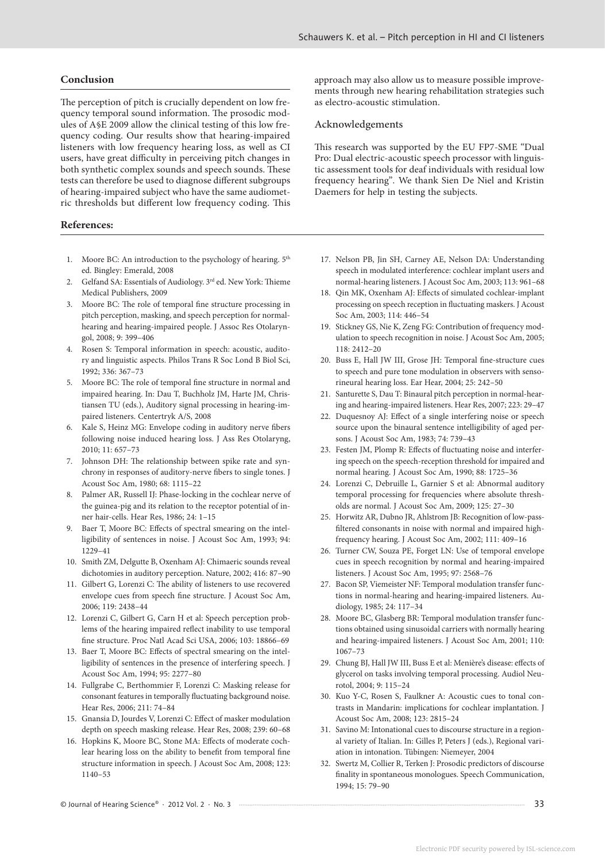#### **Conclusion**

The perception of pitch is crucially dependent on low frequency temporal sound information. The prosodic modules of A§E 2009 allow the clinical testing of this low frequency coding. Our results show that hearing-impaired listeners with low frequency hearing loss, as well as CI users, have great difficulty in perceiving pitch changes in both synthetic complex sounds and speech sounds. These tests can therefore be used to diagnose different subgroups of hearing-impaired subject who have the same audiometric thresholds but different low frequency coding. This

#### **References:**

- 1. Moore BC: An introduction to the psychology of hearing.  $5<sup>th</sup>$ ed. Bingley: Emerald, 2008
- 2. Gelfand SA: Essentials of Audiology. 3<sup>rd</sup> ed. New York: Thieme Medical Publishers, 2009
- 3. Moore BC: The role of temporal fine structure processing in pitch perception, masking, and speech perception for normalhearing and hearing-impaired people. J Assoc Res Otolaryngol, 2008; 9: 399–406
- 4. Rosen S: Temporal information in speech: acoustic, auditory and linguistic aspects. Philos Trans R Soc Lond B Biol Sci, 1992; 336: 367–73
- 5. Moore BC: The role of temporal fine structure in normal and impaired hearing. In: Dau T, Buchholz JM, Harte JM, Christiansen TU (eds.), Auditory signal processing in hearing-impaired listeners. Centertryk A/S, 2008
- 6. Kale S, Heinz MG: Envelope coding in auditory nerve fibers following noise induced hearing loss. J Ass Res Otolaryng, 2010; 11: 657–73
- 7. Johnson DH: The relationship between spike rate and synchrony in responses of auditory-nerve fibers to single tones. J Acoust Soc Am, 1980; 68: 1115–22
- 8. Palmer AR, Russell IJ: Phase-locking in the cochlear nerve of the guinea-pig and its relation to the receptor potential of inner hair-cells. Hear Res, 1986; 24: 1–15
- 9. Baer T, Moore BC: Effects of spectral smearing on the intelligibility of sentences in noise. J Acoust Soc Am, 1993; 94: 1229–41
- 10. Smith ZM, Delgutte B, Oxenham AJ: Chimaeric sounds reveal dichotomies in auditory perception. Nature, 2002; 416: 87–90
- 11. Gilbert G, Lorenzi C: The ability of listeners to use recovered envelope cues from speech fine structure. J Acoust Soc Am, 2006; 119: 2438–44
- 12. Lorenzi C, Gilbert G, Carn H et al: Speech perception problems of the hearing impaired reflect inability to use temporal fine structure. Proc Natl Acad Sci USA, 2006; 103: 18866–69
- 13. Baer T, Moore BC: Effects of spectral smearing on the intelligibility of sentences in the presence of interfering speech. J Acoust Soc Am, 1994; 95: 2277–80
- 14. Fullgrabe C, Berthommier F, Lorenzi C: Masking release for consonant features in temporally fluctuating background noise. Hear Res, 2006; 211: 74–84
- 15. Gnansia D, Jourdes V, Lorenzi C: Effect of masker modulation depth on speech masking release. Hear Res, 2008; 239: 60–68
- 16. Hopkins K, Moore BC, Stone MA: Effects of moderate cochlear hearing loss on the ability to benefit from temporal fine structure information in speech. J Acoust Soc Am, 2008; 123: 1140–53

© Journal of Hearing Science® · 2012 Vol. 2 · No. 3 33

approach may also allow us to measure possible improvements through new hearing rehabilitation strategies such as electro-acoustic stimulation.

#### Acknowledgements

This research was supported by the EU FP7-SME "Dual Pro: Dual electric-acoustic speech processor with linguistic assessment tools for deaf individuals with residual low frequency hearing"*.* We thank Sien De Niel and Kristin Daemers for help in testing the subjects.

- 17. Nelson PB, Jin SH, Carney AE, Nelson DA: Understanding speech in modulated interference: cochlear implant users and normal-hearing listeners. J Acoust Soc Am, 2003; 113: 961–68
- 18. Qin MK, Oxenham AJ: Effects of simulated cochlear-implant processing on speech reception in fluctuating maskers. J Acoust Soc Am, 2003; 114: 446–54
- 19. Stickney GS, Nie K, Zeng FG: Contribution of frequency modulation to speech recognition in noise. J Acoust Soc Am, 2005; 118: 2412–20
- 20. Buss E, Hall JW III, Grose JH: Temporal fine-structure cues to speech and pure tone modulation in observers with sensorineural hearing loss. Ear Hear, 2004; 25: 242–50
- 21. Santurette S, Dau T: Binaural pitch perception in normal-hearing and hearing-impaired listeners. Hear Res, 2007; 223: 29–47
- 22. Duquesnoy AJ: Effect of a single interfering noise or speech source upon the binaural sentence intelligibility of aged persons. J Acoust Soc Am, 1983; 74: 739–43
- 23. Festen JM, Plomp R: Effects of fluctuating noise and interfering speech on the speech-reception threshold for impaired and normal hearing. J Acoust Soc Am, 1990; 88: 1725–36
- 24. Lorenzi C, Debruille L, Garnier S et al: Abnormal auditory temporal processing for frequencies where absolute thresholds are normal. J Acoust Soc Am, 2009; 125: 27–30
- 25. Horwitz AR, Dubno JR, Ahlstrom JB: Recognition of low-passfiltered consonants in noise with normal and impaired highfrequency hearing. J Acoust Soc Am, 2002; 111: 409–16
- 26. Turner CW, Souza PE, Forget LN: Use of temporal envelope cues in speech recognition by normal and hearing-impaired listeners. J Acoust Soc Am, 1995; 97: 2568–76
- 27. Bacon SP, Viemeister NF: Temporal modulation transfer functions in normal-hearing and hearing-impaired listeners. Audiology, 1985; 24: 117–34
- 28. Moore BC, Glasberg BR: Temporal modulation transfer functions obtained using sinusoidal carriers with normally hearing and hearing-impaired listeners. J Acoust Soc Am, 2001; 110: 1067–73
- 29. Chung BJ, Hall JW III, Buss E et al: Menière's disease: effects of glycerol on tasks involving temporal processing. Audiol Neurotol, 2004; 9: 115–24
- 30. Kuo Y-C, Rosen S, Faulkner A: Acoustic cues to tonal contrasts in Mandarin: implications for cochlear implantation. J Acoust Soc Am, 2008; 123: 2815–24
- 31. Savino M: Intonational cues to discourse structure in a regional variety of Italian. In: Gilles P, Peters J (eds.), Regional variation in intonation. Tübingen: Niemeyer, 2004
- 32. Swertz M, Collier R, Terken J: Prosodic predictors of discourse finality in spontaneous monologues. Speech Communication, 1994; 15: 79–90